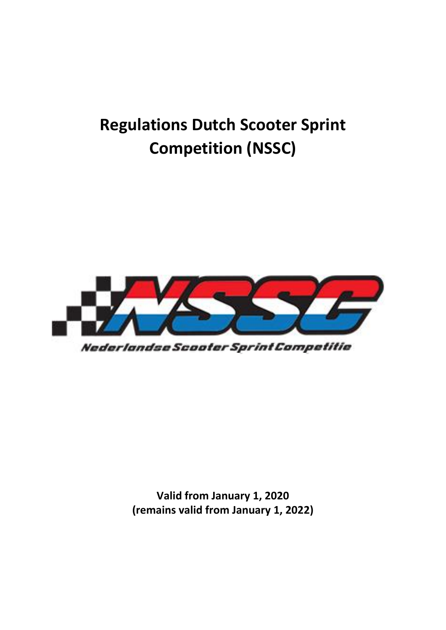# **Regulations Dutch Scooter Sprint Competition (NSSC)**



Nederlandse Scooter Sprint Competitie

**Valid from January 1, 2020 (remains valid from January 1, 2022)**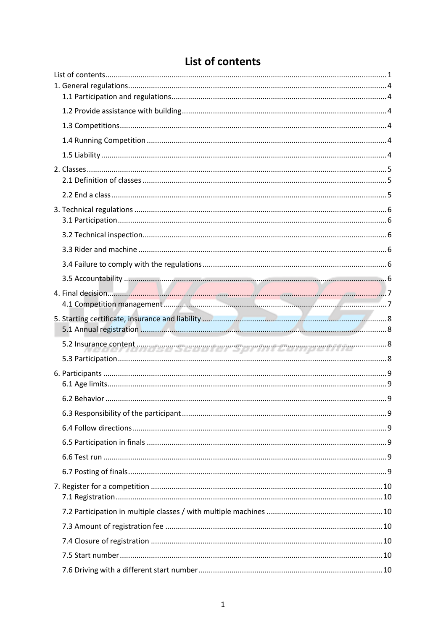<span id="page-1-0"></span>

## List of contents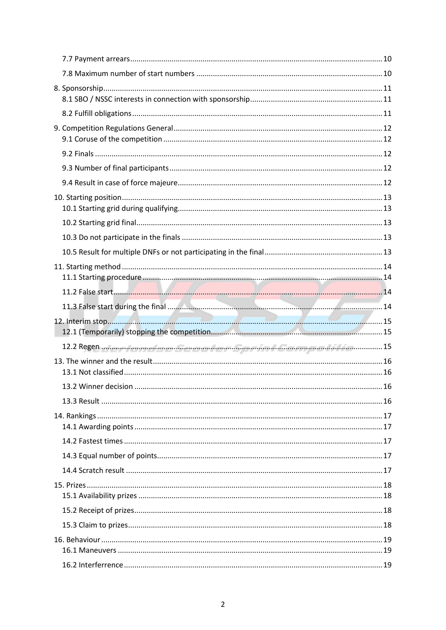| 11.2 False start 14                                                                         |  |
|---------------------------------------------------------------------------------------------|--|
|                                                                                             |  |
|                                                                                             |  |
|                                                                                             |  |
|                                                                                             |  |
| 12.2 Regen where the reading of course the real provincial discovery and risk for manual 15 |  |
|                                                                                             |  |
| 13.2 Winner decision.                                                                       |  |
|                                                                                             |  |
|                                                                                             |  |
|                                                                                             |  |
|                                                                                             |  |
|                                                                                             |  |
|                                                                                             |  |
|                                                                                             |  |
|                                                                                             |  |
|                                                                                             |  |
|                                                                                             |  |
|                                                                                             |  |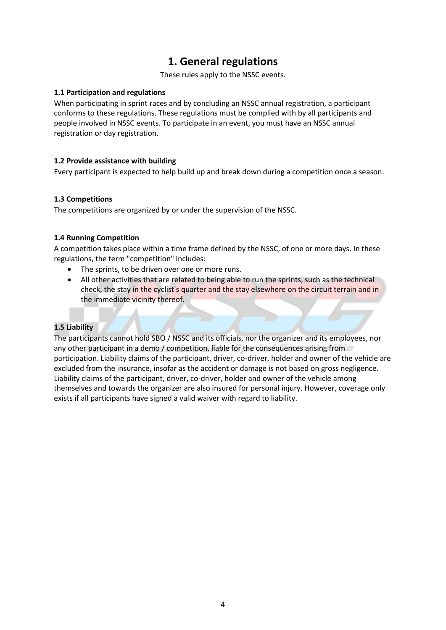### **1. General regulations**

These rules apply to the NSSC events.

#### <span id="page-4-1"></span><span id="page-4-0"></span>**1.1 Participation and regulations**

When participating in sprint races and by concluding an NSSC annual registration, a participant conforms to these regulations. These regulations must be complied with by all participants and people involved in NSSC events. To participate in an event, you must have an NSSC annual registration or day registration.

#### <span id="page-4-2"></span>**1.2 Provide assistance with building**

Every participant is expected to help build up and break down during a competition once a season.

#### <span id="page-4-3"></span>**1.3 Competitions**

The competitions are organized by or under the supervision of the NSSC.

#### <span id="page-4-4"></span>**1.4 Running Competition**

A competition takes place within a time frame defined by the NSSC, of one or more days. In these regulations, the term "competition" includes:

- The sprints, to be driven over one or more runs.
- All other activities that are related to being able to run the sprints, such as the technical check, the stay in the cyclist's quarter and the stay elsewhere on the circuit terrain and in the immediate vicinity thereof.

#### <span id="page-4-5"></span>**1.5 Liability**

The participants cannot hold SBO / NSSC and its officials, nor the organizer and its employees, nor any other participant in a demo / competition, liable for the consequences arising from participation. Liability claims of the participant, driver, co-driver, holder and owner of the vehicle are excluded from the insurance, insofar as the accident or damage is not based on gross negligence. Liability claims of the participant, driver, co-driver, holder and owner of the vehicle among themselves and towards the organizer are also insured for personal injury. However, coverage only exists if all participants have signed a valid waiver with regard to liability.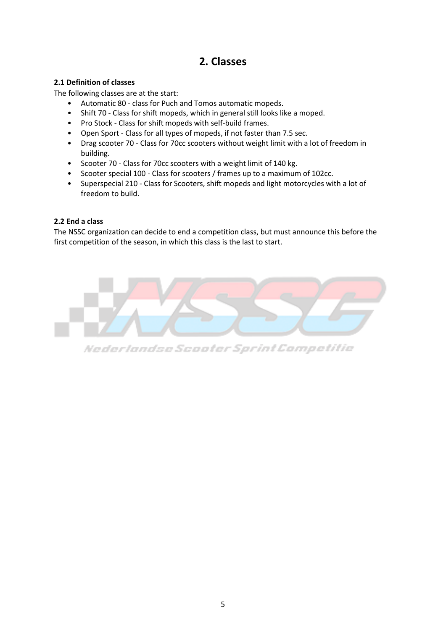### **2. Classes**

#### <span id="page-5-1"></span><span id="page-5-0"></span>**2.1 Definition of classes**

The following classes are at the start:

- Automatic 80 class for Puch and Tomos automatic mopeds.
- Shift 70 Class for shift mopeds, which in general still looks like a moped.
- Pro Stock Class for shift mopeds with self-build frames.
- Open Sport Class for all types of mopeds, if not faster than 7.5 sec.
- Drag scooter 70 Class for 70cc scooters without weight limit with a lot of freedom in building.
- Scooter 70 Class for 70cc scooters with a weight limit of 140 kg.
- Scooter special 100 Class for scooters / frames up to a maximum of 102cc.
- Superspecial 210 Class for Scooters, shift mopeds and light motorcycles with a lot of freedom to build.

### <span id="page-5-2"></span>**2.2 End a class**

The NSSC organization can decide to end a competition class, but must announce this before the first competition of the season, in which this class is the last to start.



Nederlandse Scooter Sprint Competitie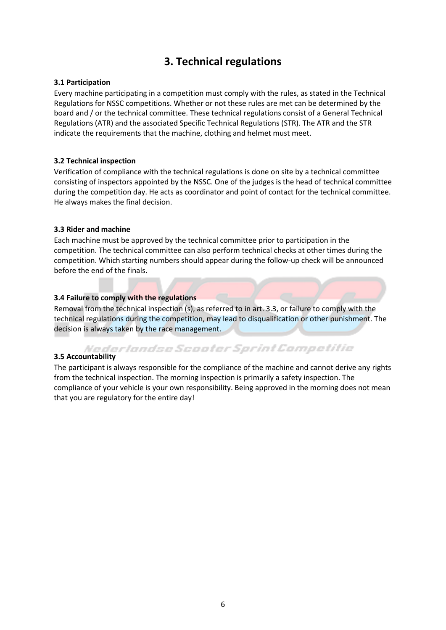### **3. Technical regulations**

#### <span id="page-6-1"></span><span id="page-6-0"></span>**3.1 Participation**

Every machine participating in a competition must comply with the rules, as stated in the Technical Regulations for NSSC competitions. Whether or not these rules are met can be determined by the board and / or the technical committee. These technical regulations consist of a General Technical Regulations (ATR) and the associated Specific Technical Regulations (STR). The ATR and the STR indicate the requirements that the machine, clothing and helmet must meet.

#### <span id="page-6-2"></span>**3.2 Technical inspection**

Verification of compliance with the technical regulations is done on site by a technical committee consisting of inspectors appointed by the NSSC. One of the judges is the head of technical committee during the competition day. He acts as coordinator and point of contact for the technical committee. He always makes the final decision.

#### <span id="page-6-3"></span>**3.3 Rider and machine**

Each machine must be approved by the technical committee prior to participation in the competition. The technical committee can also perform technical checks at other times during the competition. Which starting numbers should appear during the follow-up check will be announced before the end of the finals.

#### <span id="page-6-4"></span>**3.4 Failure to comply with the regulations**

Removal from the technical inspection (s), as referred to in art. 3.3, or failure to comply with the technical regulations during the competition, may lead to disqualification or other punishment. The decision is always taken by the race management.

# <span id="page-6-5"></span>*<i>Nederlandse Scooter Sprint Competitie*<br>3.5 Accountability

The participant is always responsible for the compliance of the machine and cannot derive any rights from the technical inspection. The morning inspection is primarily a safety inspection. The compliance of your vehicle is your own responsibility. Being approved in the morning does not mean that you are regulatory for the entire day!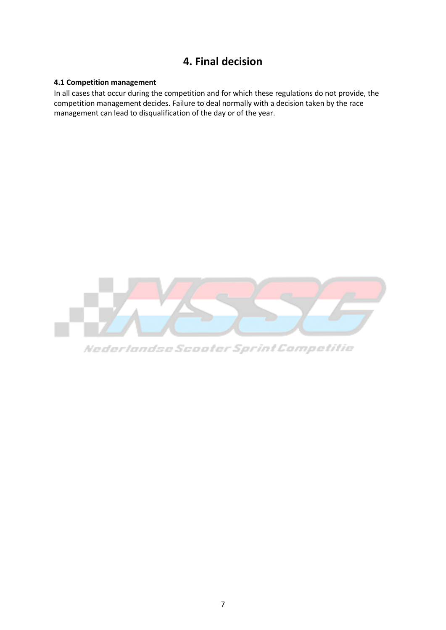### **4. Final decision**

#### <span id="page-7-1"></span><span id="page-7-0"></span>**4.1 Competition management**

In all cases that occur during the competition and for which these regulations do not provide, the competition management decides. Failure to deal normally with a decision taken by the race management can lead to disqualification of the day or of the year.



Nederlandse Scooter Sprint Competitie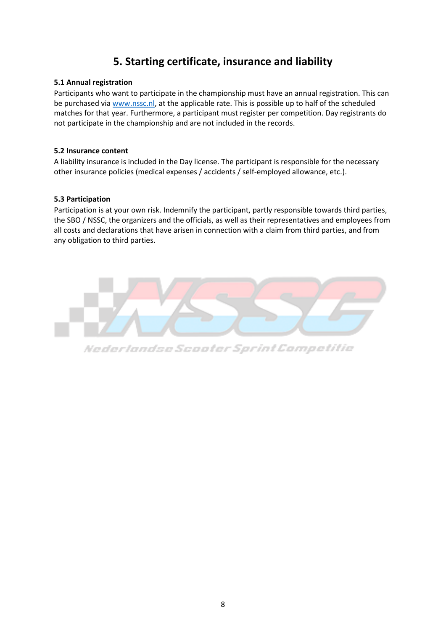### **5. Starting certificate, insurance and liability**

#### <span id="page-8-1"></span><span id="page-8-0"></span>**5.1 Annual registration**

Participants who want to participate in the championship must have an annual registration. This can be purchased via [www.nssc.nl,](http://www.nssc.nl/) at the applicable rate. This is possible up to half of the scheduled matches for that year. Furthermore, a participant must register per competition. Day registrants do not participate in the championship and are not included in the records.

#### <span id="page-8-2"></span>**5.2 Insurance content**

A liability insurance is included in the Day license. The participant is responsible for the necessary other insurance policies (medical expenses / accidents / self-employed allowance, etc.).

#### <span id="page-8-3"></span>**5.3 Participation**

Participation is at your own risk. Indemnify the participant, partly responsible towards third parties, the SBO / NSSC, the organizers and the officials, as well as their representatives and employees from all costs and declarations that have arisen in connection with a claim from third parties, and from any obligation to third parties.



Nederlandse Scooter Sprint Competitie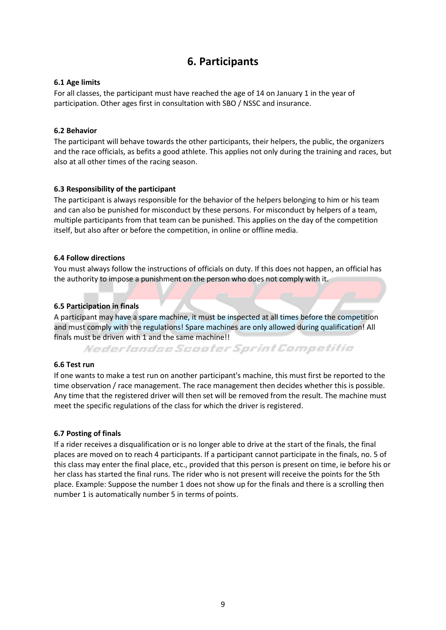### **6. Participants**

#### <span id="page-9-1"></span><span id="page-9-0"></span>**6.1 Age limits**

For all classes, the participant must have reached the age of 14 on January 1 in the year of participation. Other ages first in consultation with SBO / NSSC and insurance.

#### <span id="page-9-2"></span>**6.2 Behavior**

The participant will behave towards the other participants, their helpers, the public, the organizers and the race officials, as befits a good athlete. This applies not only during the training and races, but also at all other times of the racing season.

#### <span id="page-9-3"></span>**6.3 Responsibility of the participant**

The participant is always responsible for the behavior of the helpers belonging to him or his team and can also be punished for misconduct by these persons. For misconduct by helpers of a team, multiple participants from that team can be punished. This applies on the day of the competition itself, but also after or before the competition, in online or offline media.

#### <span id="page-9-4"></span>**6.4 Follow directions**

You must always follow the instructions of officials on duty. If this does not happen, an official has the authority to impose a punishment on the person who does not comply with it.

#### <span id="page-9-5"></span>**6.5 Participation in finals**

A participant may have a spare machine, it must be inspected at all times before the competition and must comply with the regulations! Spare machines are only allowed during qualification! All finals must be driven with 1 and the same machine!!

Nederlandse Scooter Sprint Competitie

#### <span id="page-9-6"></span>**6.6 Test run**

If one wants to make a test run on another participant's machine, this must first be reported to the time observation / race management. The race management then decides whether this is possible. Any time that the registered driver will then set will be removed from the result. The machine must meet the specific regulations of the class for which the driver is registered.

#### <span id="page-9-7"></span>**6.7 Posting of finals**

If a rider receives a disqualification or is no longer able to drive at the start of the finals, the final places are moved on to reach 4 participants. If a participant cannot participate in the finals, no. 5 of this class may enter the final place, etc., provided that this person is present on time, ie before his or her class has started the final runs. The rider who is not present will receive the points for the 5th place. Example: Suppose the number 1 does not show up for the finals and there is a scrolling then number 1 is automatically number 5 in terms of points.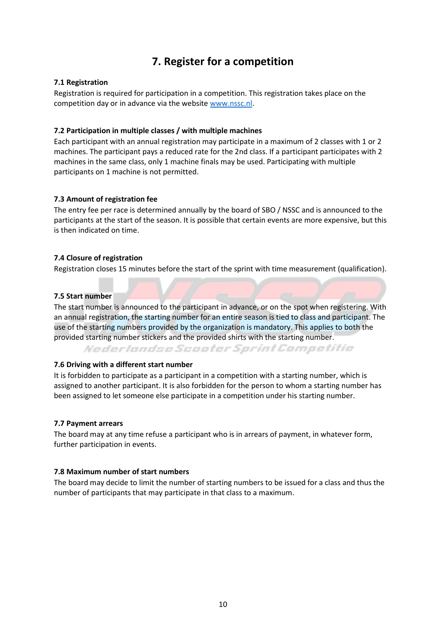### **7. Register for a competition**

#### <span id="page-10-1"></span><span id="page-10-0"></span>**7.1 Registration**

Registration is required for participation in a competition. This registration takes place on the competition day or in advance via the website [www.nssc.nl.](http://www.nssc.nl/)

#### <span id="page-10-2"></span>**7.2 Participation in multiple classes / with multiple machines**

Each participant with an annual registration may participate in a maximum of 2 classes with 1 or 2 machines. The participant pays a reduced rate for the 2nd class. If a participant participates with 2 machines in the same class, only 1 machine finals may be used. Participating with multiple participants on 1 machine is not permitted.

#### <span id="page-10-3"></span>**7.3 Amount of registration fee**

The entry fee per race is determined annually by the board of SBO / NSSC and is announced to the participants at the start of the season. It is possible that certain events are more expensive, but this is then indicated on time.

#### <span id="page-10-4"></span>**7.4 Closure of registration**

Registration closes 15 minutes before the start of the sprint with time measurement (qualification).

#### <span id="page-10-5"></span>**7.5 Start number**

The start number is announced to the participant in advance, or on the spot when registering. With an annual registration, the starting number for an entire season is tied to class and participant. The use of the starting numbers provided by the organization is mandatory. This applies to both the provided starting number stickers and the provided shirts with the starting number.

Nederlandse Scooter Sprint Competitie

#### <span id="page-10-6"></span>**7.6 Driving with a different start number**

It is forbidden to participate as a participant in a competition with a starting number, which is assigned to another participant. It is also forbidden for the person to whom a starting number has been assigned to let someone else participate in a competition under his starting number.

#### <span id="page-10-7"></span>**7.7 Payment arrears**

The board may at any time refuse a participant who is in arrears of payment, in whatever form, further participation in events.

#### <span id="page-10-8"></span>**7.8 Maximum number of start numbers**

The board may decide to limit the number of starting numbers to be issued for a class and thus the number of participants that may participate in that class to a maximum.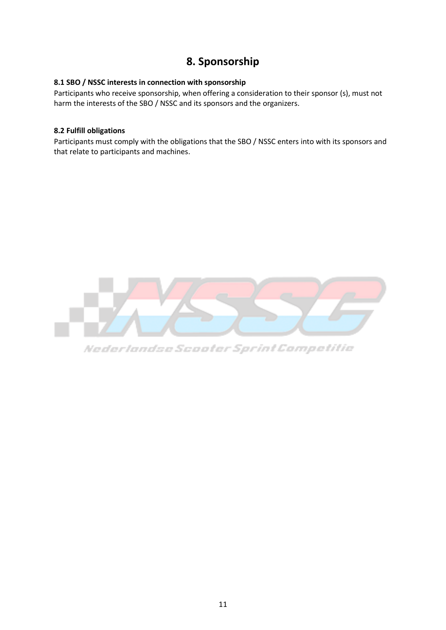### **8. Sponsorship**

#### <span id="page-11-1"></span><span id="page-11-0"></span>**8.1 SBO / NSSC interests in connection with sponsorship**

Participants who receive sponsorship, when offering a consideration to their sponsor (s), must not harm the interests of the SBO / NSSC and its sponsors and the organizers.

#### <span id="page-11-2"></span>**8.2 Fulfill obligations**

Participants must comply with the obligations that the SBO / NSSC enters into with its sponsors and that relate to participants and machines.



Nederlandse Scooter Sprint Competitie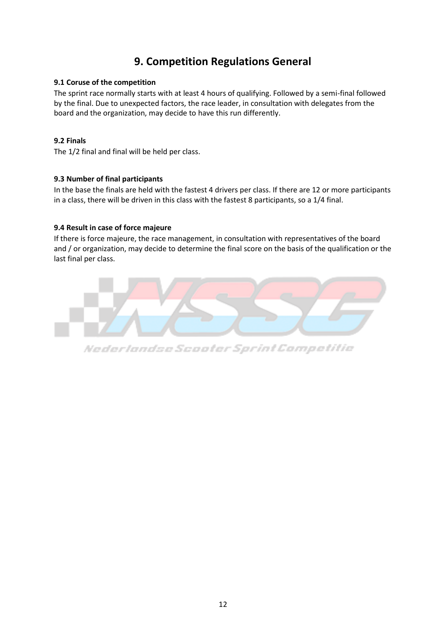### **9. Competition Regulations General**

#### <span id="page-12-1"></span><span id="page-12-0"></span>**9.1 Coruse of the competition**

The sprint race normally starts with at least 4 hours of qualifying. Followed by a semi-final followed by the final. Due to unexpected factors, the race leader, in consultation with delegates from the board and the organization, may decide to have this run differently.

#### <span id="page-12-2"></span>**9.2 Finals**

The 1/2 final and final will be held per class.

#### <span id="page-12-3"></span>**9.3 Number of final participants**

In the base the finals are held with the fastest 4 drivers per class. If there are 12 or more participants in a class, there will be driven in this class with the fastest 8 participants, so a 1/4 final.

#### <span id="page-12-4"></span>**9.4 Result in case of force majeure**

If there is force majeure, the race management, in consultation with representatives of the board and / or organization, may decide to determine the final score on the basis of the qualification or the last final per class.



Nederlandse Scooter Sprint Competitie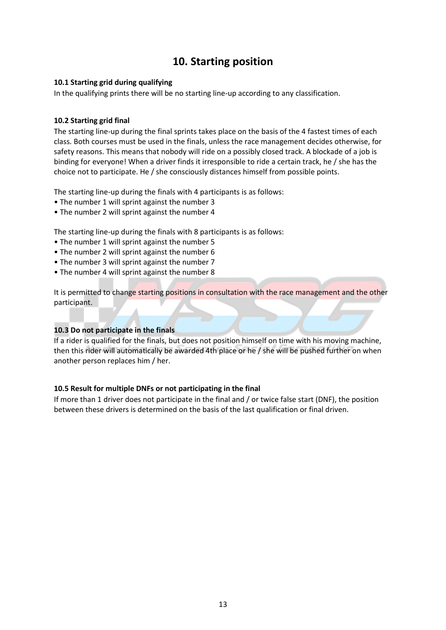### **10. Starting position**

#### <span id="page-13-1"></span><span id="page-13-0"></span>**10.1 Starting grid during qualifying**

In the qualifying prints there will be no starting line-up according to any classification.

#### <span id="page-13-2"></span>**10.2 Starting grid final**

The starting line-up during the final sprints takes place on the basis of the 4 fastest times of each class. Both courses must be used in the finals, unless the race management decides otherwise, for safety reasons. This means that nobody will ride on a possibly closed track. A blockade of a job is binding for everyone! When a driver finds it irresponsible to ride a certain track, he / she has the choice not to participate. He / she consciously distances himself from possible points.

The starting line-up during the finals with 4 participants is as follows:

- The number 1 will sprint against the number 3
- The number 2 will sprint against the number 4

The starting line-up during the finals with 8 participants is as follows:

- The number 1 will sprint against the number 5
- The number 2 will sprint against the number 6
- The number 3 will sprint against the number 7
- The number 4 will sprint against the number 8

It is permitted to change starting positions in consultation with the race management and the other participant.

#### <span id="page-13-3"></span>**10.3 Do not participate in the finals**

If a rider is qualified for the finals, but does not position himself on time with his moving machine, then this rider will automatically be awarded 4th place or he / she will be pushed further on when another person replaces him / her.

#### <span id="page-13-4"></span>**10.5 Result for multiple DNFs or not participating in the final**

If more than 1 driver does not participate in the final and / or twice false start (DNF), the position between these drivers is determined on the basis of the last qualification or final driven.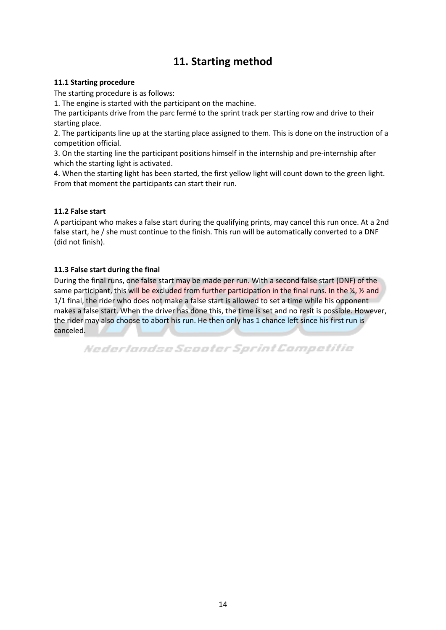### **11. Starting method**

#### <span id="page-14-1"></span><span id="page-14-0"></span>**11.1 Starting procedure**

The starting procedure is as follows:

1. The engine is started with the participant on the machine.

The participants drive from the parc fermé to the sprint track per starting row and drive to their starting place.

2. The participants line up at the starting place assigned to them. This is done on the instruction of a competition official.

3. On the starting line the participant positions himself in the internship and pre-internship after which the starting light is activated.

4. When the starting light has been started, the first yellow light will count down to the green light. From that moment the participants can start their run.

#### <span id="page-14-2"></span>**11.2 False start**

A participant who makes a false start during the qualifying prints, may cancel this run once. At a 2nd false start, he / she must continue to the finish. This run will be automatically converted to a DNF (did not finish).

#### <span id="page-14-3"></span>**11.3 False start during the final**

During the final runs, one false start may be made per run. With a second false start (DNF) of the same participant, this will be excluded from further participation in the final runs. In the  $\frac{1}{4}$ ,  $\frac{1}{2}$  and 1/1 final, the rider who does not make a false start is allowed to set a time while his opponent makes a false start. When the driver has done this, the time is set and no resit is possible. However, the rider may also choose to abort his run. He then only has 1 chance left since his first run is canceled.

Nederlandse Scooter Sprint Competitie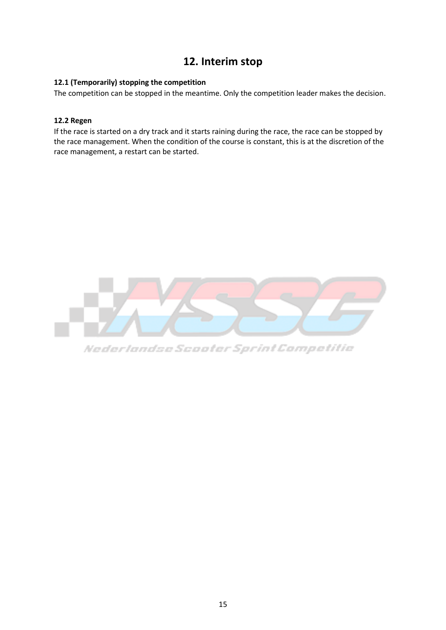### **12. Interim stop**

#### <span id="page-15-1"></span><span id="page-15-0"></span>**12.1 (Temporarily) stopping the competition**

The competition can be stopped in the meantime. Only the competition leader makes the decision.

#### <span id="page-15-2"></span>**12.2 Regen**

If the race is started on a dry track and it starts raining during the race, the race can be stopped by the race management. When the condition of the course is constant, this is at the discretion of the race management, a restart can be started.



Nederlandse Scooter Sprint Competitie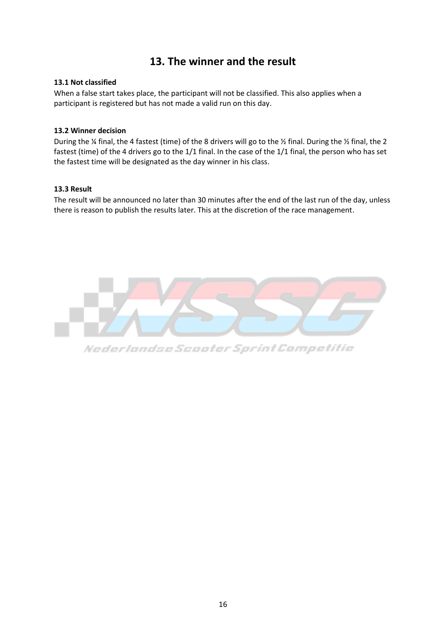### **13. The winner and the result**

#### <span id="page-16-1"></span><span id="page-16-0"></span>**13.1 Not classified**

When a false start takes place, the participant will not be classified. This also applies when a participant is registered but has not made a valid run on this day.

#### <span id="page-16-2"></span>**13.2 Winner decision**

During the ¼ final, the 4 fastest (time) of the 8 drivers will go to the ½ final. During the ½ final, the 2 fastest (time) of the 4 drivers go to the 1/1 final. In the case of the 1/1 final, the person who has set the fastest time will be designated as the day winner in his class.

#### <span id="page-16-3"></span>**13.3 Result**

The result will be announced no later than 30 minutes after the end of the last run of the day, unless there is reason to publish the results later. This at the discretion of the race management.



Nederlandse Scooter Sprint Competitie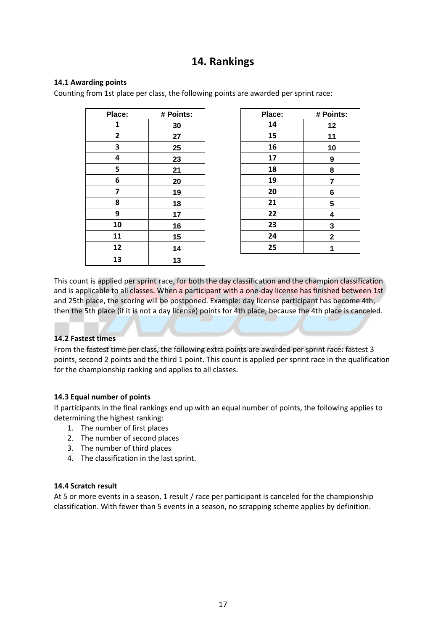### **14. Rankings**

#### <span id="page-17-1"></span><span id="page-17-0"></span>**14.1 Awarding points**

Counting from 1st place per class, the following points are awarded per sprint race:

| Place: | # Points: |  |
|--------|-----------|--|
| 1      | 30        |  |
| 2      | 27        |  |
| 3      | 25        |  |
| 4      | 23        |  |
| 5      | 21        |  |
| 6      | 20        |  |
| 7      | 19        |  |
| 8      | 18        |  |
| 9      | 17        |  |
| 10     | 16        |  |
| 11     | 15        |  |
| 12     | 14        |  |
| 13     | 13        |  |

| Place:         | # Points: | Place: | # Points:    |
|----------------|-----------|--------|--------------|
| 1              | 30        | 14     | 12           |
| $\overline{2}$ | 27        | 15     | 11           |
| 3              | 25        | 16     | 10           |
| 4              | 23        | 17     | 9            |
| 5              | 21        | 18     | 8            |
| 6              | 20        | 19     | 7            |
| 7              | 19        | 20     | 6            |
| 8              | 18        | 21     | 5            |
| 9              | 17        | 22     | 4            |
| 10             | 16        | 23     | 3            |
| 11             | 15        | 24     | $\mathbf{2}$ |
| 12             | 14        | 25     |              |
|                |           |        |              |

This count is applied per sprint race, for both the day classification and the champion classification and is applicable to all classes. When a participant with a one-day license has finished between 1st and 25th place, the scoring will be postponed. Example: day license participant has become 4th, then the 5th place (if it is not a day license) points for 4th place, because the 4th place is canceled.

#### <span id="page-17-2"></span>**14.2 Fastest times**

From the fastest time per class, the following extra points are awarded per sprint race: fastest 3 points, second 2 points and the third 1 point. This count is applied per sprint race in the qualification for the championship ranking and applies to all classes.

#### <span id="page-17-3"></span>**14.3 Equal number of points**

If participants in the final rankings end up with an equal number of points, the following applies to determining the highest ranking:

- 1. The number of first places
- 2. The number of second places
- 3. The number of third places
- 4. The classification in the last sprint.

#### <span id="page-17-4"></span>**14.4 Scratch result**

At 5 or more events in a season, 1 result / race per participant is canceled for the championship classification. With fewer than 5 events in a season, no scrapping scheme applies by definition.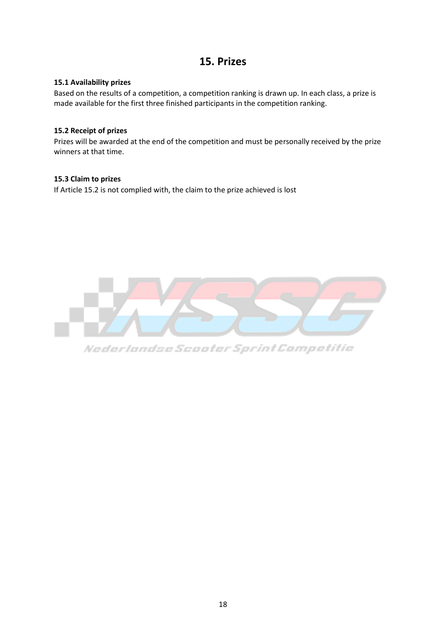### **15. Prizes**

#### <span id="page-18-1"></span><span id="page-18-0"></span>**15.1 Availability prizes**

Based on the results of a competition, a competition ranking is drawn up. In each class, a prize is made available for the first three finished participants in the competition ranking.

#### <span id="page-18-2"></span>**15.2 Receipt of prizes**

Prizes will be awarded at the end of the competition and must be personally received by the prize winners at that time.

#### <span id="page-18-3"></span>**15.3 Claim to prizes**

If Article 15.2 is not complied with, the claim to the prize achieved is lost



Nederlandse Scooter Sprint Competitie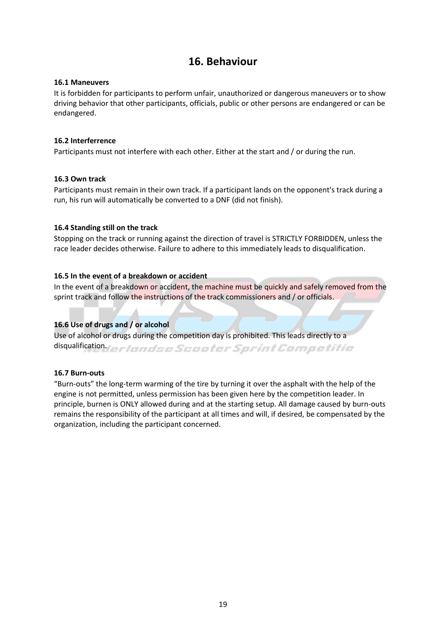### **16. Behaviour**

#### <span id="page-19-1"></span><span id="page-19-0"></span>**16.1 Maneuvers**

It is forbidden for participants to perform unfair, unauthorized or dangerous maneuvers or to show driving behavior that other participants, officials, public or other persons are endangered or can be endangered.

#### <span id="page-19-2"></span>**16.2 Interferrence**

Participants must not interfere with each other. Either at the start and / or during the run.

#### <span id="page-19-3"></span>**16.3 Own track**

Participants must remain in their own track. If a participant lands on the opponent's track during a run, his run will automatically be converted to a DNF (did not finish).

#### <span id="page-19-4"></span>**16.4 Standing still on the track**

Stopping on the track or running against the direction of travel is STRICTLY FORBIDDEN, unless the race leader decides otherwise. Failure to adhere to this immediately leads to disqualification.

#### <span id="page-19-5"></span>**16.5 In the event of a breakdown or accident**

In the event of a breakdown or accident, the machine must be quickly and safely removed from the sprint track and follow the instructions of the track commissioners and / or officials.

#### <span id="page-19-6"></span>**16.6 Use of drugs and / or alcohol**

Use of alcohol or drugs during the competition day is prohibited. This leads directly to a disqualification.for landse Scooler Sprint Competitie

#### <span id="page-19-7"></span>**16.7 Burn-outs**

"Burn-outs" the long-term warming of the tire by turning it over the asphalt with the help of the engine is not permitted, unless permission has been given here by the competition leader. In principle, burnen is ONLY allowed during and at the starting setup. All damage caused by burn-outs remains the responsibility of the participant at all times and will, if desired, be compensated by the organization, including the participant concerned.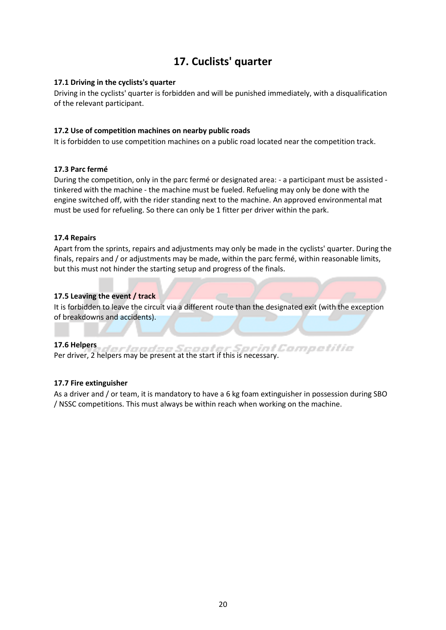### **17. Cuclists' quarter**

#### <span id="page-20-1"></span><span id="page-20-0"></span>**17.1 Driving in the cyclists's quarter**

Driving in the cyclists' quarter is forbidden and will be punished immediately, with a disqualification of the relevant participant.

#### <span id="page-20-2"></span>**17.2 Use of competition machines on nearby public roads**

It is forbidden to use competition machines on a public road located near the competition track.

#### <span id="page-20-3"></span>**17.3 Parc fermé**

During the competition, only in the parc fermé or designated area: - a participant must be assisted tinkered with the machine - the machine must be fueled. Refueling may only be done with the engine switched off, with the rider standing next to the machine. An approved environmental mat must be used for refueling. So there can only be 1 fitter per driver within the park.

#### <span id="page-20-4"></span>**17.4 Repairs**

Apart from the sprints, repairs and adjustments may only be made in the cyclists' quarter. During the finals, repairs and / or adjustments may be made, within the parc fermé, within reasonable limits, but this must not hinder the starting setup and progress of the finals.

#### <span id="page-20-5"></span>**17.5 Leaving the event / track**

It is forbidden to leave the circuit via a different route than the designated exit (with the exception of breakdowns and accidents).

#### <span id="page-20-6"></span>**17.6 Helpers**

erlandse Scooter Sorint Competitie Per driver, 2 helpers may be present at the start if this is necessary.

#### <span id="page-20-7"></span>**17.7 Fire extinguisher**

As a driver and / or team, it is mandatory to have a 6 kg foam extinguisher in possession during SBO / NSSC competitions. This must always be within reach when working on the machine.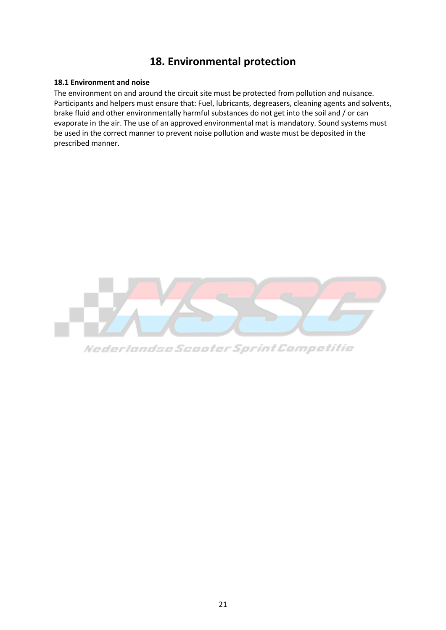### **18. Environmental protection**

#### <span id="page-21-1"></span><span id="page-21-0"></span>**18.1 Environment and noise**

The environment on and around the circuit site must be protected from pollution and nuisance. Participants and helpers must ensure that: Fuel, lubricants, degreasers, cleaning agents and solvents, brake fluid and other environmentally harmful substances do not get into the soil and / or can evaporate in the air. The use of an approved environmental mat is mandatory. Sound systems must be used in the correct manner to prevent noise pollution and waste must be deposited in the prescribed manner.



Nederlandse Scooter Sprint Competitie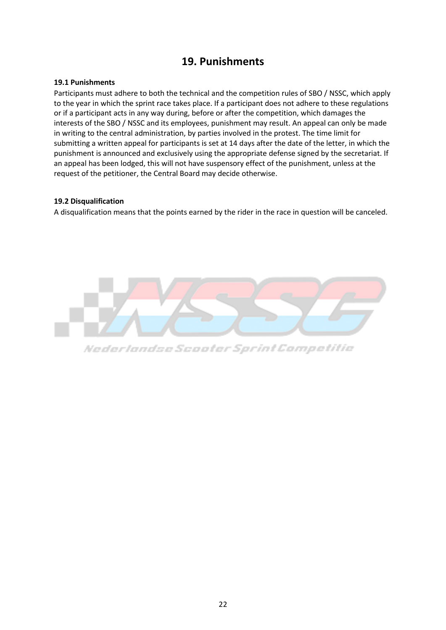### **19. Punishments**

#### <span id="page-22-1"></span><span id="page-22-0"></span>**19.1 Punishments**

Participants must adhere to both the technical and the competition rules of SBO / NSSC, which apply to the year in which the sprint race takes place. If a participant does not adhere to these regulations or if a participant acts in any way during, before or after the competition, which damages the interests of the SBO / NSSC and its employees, punishment may result. An appeal can only be made in writing to the central administration, by parties involved in the protest. The time limit for submitting a written appeal for participants is set at 14 days after the date of the letter, in which the punishment is announced and exclusively using the appropriate defense signed by the secretariat. If an appeal has been lodged, this will not have suspensory effect of the punishment, unless at the request of the petitioner, the Central Board may decide otherwise.

#### <span id="page-22-2"></span>**19.2 Disqualification**

A disqualification means that the points earned by the rider in the race in question will be canceled.



Nederlandse Scooter Sprint Competitie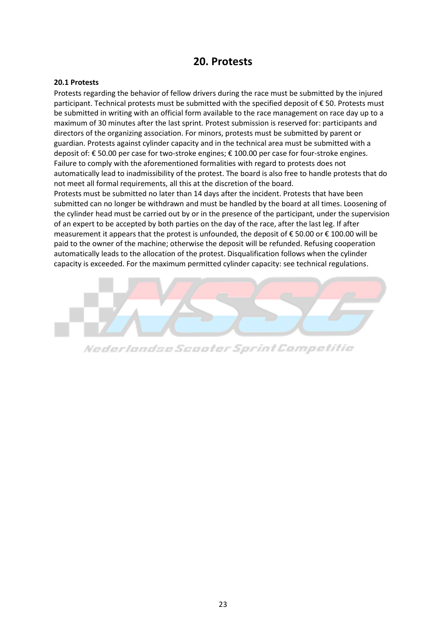### **20. Protests**

#### <span id="page-23-1"></span><span id="page-23-0"></span>**20.1 Protests**

Protests regarding the behavior of fellow drivers during the race must be submitted by the injured participant. Technical protests must be submitted with the specified deposit of € 50. Protests must be submitted in writing with an official form available to the race management on race day up to a maximum of 30 minutes after the last sprint. Protest submission is reserved for: participants and directors of the organizing association. For minors, protests must be submitted by parent or guardian. Protests against cylinder capacity and in the technical area must be submitted with a deposit of: € 50.00 per case for two-stroke engines; € 100.00 per case for four-stroke engines. Failure to comply with the aforementioned formalities with regard to protests does not automatically lead to inadmissibility of the protest. The board is also free to handle protests that do not meet all formal requirements, all this at the discretion of the board.

Protests must be submitted no later than 14 days after the incident. Protests that have been submitted can no longer be withdrawn and must be handled by the board at all times. Loosening of the cylinder head must be carried out by or in the presence of the participant, under the supervision of an expert to be accepted by both parties on the day of the race, after the last leg. If after measurement it appears that the protest is unfounded, the deposit of € 50.00 or € 100.00 will be paid to the owner of the machine; otherwise the deposit will be refunded. Refusing cooperation automatically leads to the allocation of the protest. Disqualification follows when the cylinder capacity is exceeded. For the maximum permitted cylinder capacity: see technical regulations.



Nederlandse Scooter Sprint Competitie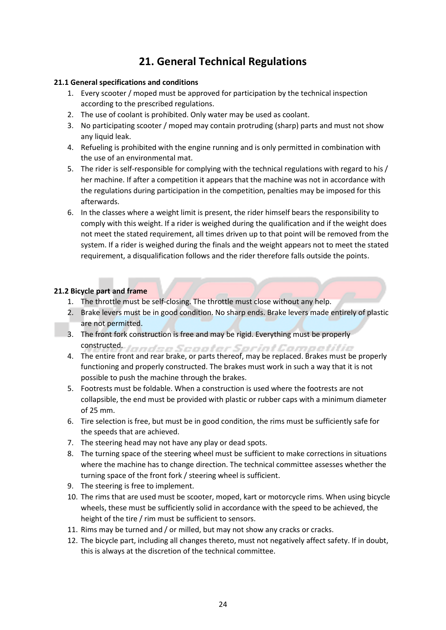### **21. General Technical Regulations**

#### <span id="page-24-1"></span><span id="page-24-0"></span>**21.1 General specifications and conditions**

- 1. Every scooter / moped must be approved for participation by the technical inspection according to the prescribed regulations.
- 2. The use of coolant is prohibited. Only water may be used as coolant.
- 3. No participating scooter / moped may contain protruding (sharp) parts and must not show any liquid leak.
- 4. Refueling is prohibited with the engine running and is only permitted in combination with the use of an environmental mat.
- 5. The rider is self-responsible for complying with the technical regulations with regard to his / her machine. If after a competition it appears that the machine was not in accordance with the regulations during participation in the competition, penalties may be imposed for this afterwards.
- 6. In the classes where a weight limit is present, the rider himself bears the responsibility to comply with this weight. If a rider is weighed during the qualification and if the weight does not meet the stated requirement, all times driven up to that point will be removed from the system. If a rider is weighed during the finals and the weight appears not to meet the stated requirement, a disqualification follows and the rider therefore falls outside the points.

#### <span id="page-24-2"></span>**21.2 Bicycle part and frame**

- 1. The throttle must be self-closing. The throttle must close without any help.
- 2. Brake levers must be in good condition. No sharp ends. Brake levers made entirely of plastic are not permitted.
- 3. The front fork construction is free and may be rigid. Everything must be properly constructed. Jeondan Scooler Sprint Competitio
- 4. The entire front and rear brake, or parts thereof, may be replaced. Brakes must be properly functioning and properly constructed. The brakes must work in such a way that it is not possible to push the machine through the brakes.
- 5. Footrests must be foldable. When a construction is used where the footrests are not collapsible, the end must be provided with plastic or rubber caps with a minimum diameter of 25 mm.
- 6. Tire selection is free, but must be in good condition, the rims must be sufficiently safe for the speeds that are achieved.
- 7. The steering head may not have any play or dead spots.
- 8. The turning space of the steering wheel must be sufficient to make corrections in situations where the machine has to change direction. The technical committee assesses whether the turning space of the front fork / steering wheel is sufficient.
- 9. The steering is free to implement.
- 10. The rims that are used must be scooter, moped, kart or motorcycle rims. When using bicycle wheels, these must be sufficiently solid in accordance with the speed to be achieved, the height of the tire / rim must be sufficient to sensors.
- 11. Rims may be turned and / or milled, but may not show any cracks or cracks.
- 12. The bicycle part, including all changes thereto, must not negatively affect safety. If in doubt, this is always at the discretion of the technical committee.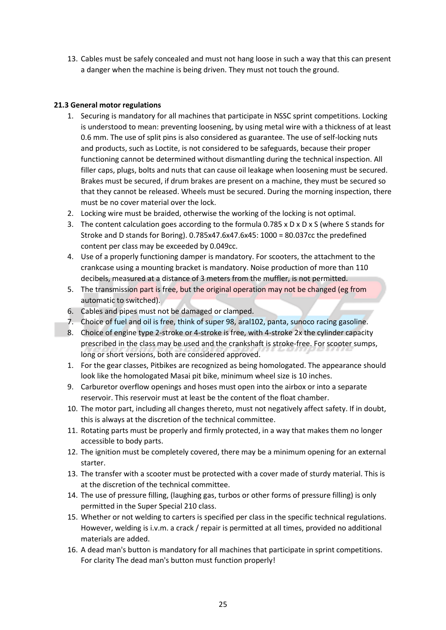13. Cables must be safely concealed and must not hang loose in such a way that this can present a danger when the machine is being driven. They must not touch the ground.

#### <span id="page-25-0"></span>**21.3 General motor regulations**

- 1. Securing is mandatory for all machines that participate in NSSC sprint competitions. Locking is understood to mean: preventing loosening, by using metal wire with a thickness of at least 0.6 mm. The use of split pins is also considered as guarantee. The use of self-locking nuts and products, such as Loctite, is not considered to be safeguards, because their proper functioning cannot be determined without dismantling during the technical inspection. All filler caps, plugs, bolts and nuts that can cause oil leakage when loosening must be secured. Brakes must be secured, if drum brakes are present on a machine, they must be secured so that they cannot be released. Wheels must be secured. During the morning inspection, there must be no cover material over the lock.
- 2. Locking wire must be braided, otherwise the working of the locking is not optimal.
- 3. The content calculation goes according to the formula 0.785 x D x D x S (where S stands for Stroke and D stands for Boring). 0.785x47.6x47.6x45: 1000 = 80.037cc the predefined content per class may be exceeded by 0.049cc.
- 4. Use of a properly functioning damper is mandatory. For scooters, the attachment to the crankcase using a mounting bracket is mandatory. Noise production of more than 110 decibels, measured at a distance of 3 meters from the muffler, is not permitted.
- 5. The transmission part is free, but the original operation may not be changed (eg from automatic to switched).
- 6. Cables and pipes must not be damaged or clamped.
- 7. Choice of fuel and oil is free, think of super 98, aral102, panta, sunoco racing gasoline.
- 8. Choice of engine type 2-stroke or 4-stroke is free, with 4-stroke 2x the cylinder capacity prescribed in the class may be used and the crankshaft is stroke-free. For scooter sumps, long or short versions, both are considered approved.
- 1. For the gear classes, Pitbikes are recognized as being homologated. The appearance should look like the homologated Masai pit bike, minimum wheel size is 10 inches.
- 9. Carburetor overflow openings and hoses must open into the airbox or into a separate reservoir. This reservoir must at least be the content of the float chamber.
- 10. The motor part, including all changes thereto, must not negatively affect safety. If in doubt, this is always at the discretion of the technical committee.
- 11. Rotating parts must be properly and firmly protected, in a way that makes them no longer accessible to body parts.
- 12. The ignition must be completely covered, there may be a minimum opening for an external starter.
- 13. The transfer with a scooter must be protected with a cover made of sturdy material. This is at the discretion of the technical committee.
- 14. The use of pressure filling, (laughing gas, turbos or other forms of pressure filling) is only permitted in the Super Special 210 class.
- 15. Whether or not welding to carters is specified per class in the specific technical regulations. However, welding is i.v.m. a crack / repair is permitted at all times, provided no additional materials are added.
- 16. A dead man's button is mandatory for all machines that participate in sprint competitions. For clarity The dead man's button must function properly!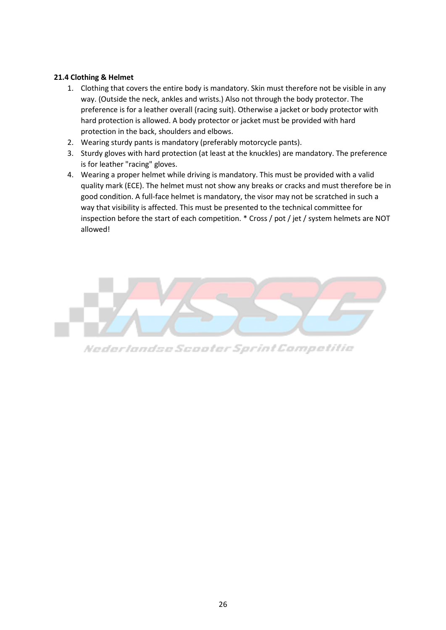#### <span id="page-26-0"></span>**21.4 Clothing & Helmet**

- 1. Clothing that covers the entire body is mandatory. Skin must therefore not be visible in any way. (Outside the neck, ankles and wrists.) Also not through the body protector. The preference is for a leather overall (racing suit). Otherwise a jacket or body protector with hard protection is allowed. A body protector or jacket must be provided with hard protection in the back, shoulders and elbows.
- 2. Wearing sturdy pants is mandatory (preferably motorcycle pants).
- 3. Sturdy gloves with hard protection (at least at the knuckles) are mandatory. The preference is for leather "racing" gloves.
- 4. Wearing a proper helmet while driving is mandatory. This must be provided with a valid quality mark (ECE). The helmet must not show any breaks or cracks and must therefore be in good condition. A full-face helmet is mandatory, the visor may not be scratched in such a way that visibility is affected. This must be presented to the technical committee for inspection before the start of each competition. \* Cross / pot / jet / system helmets are NOT allowed!



Nederlandse Scooter Sprint Competitie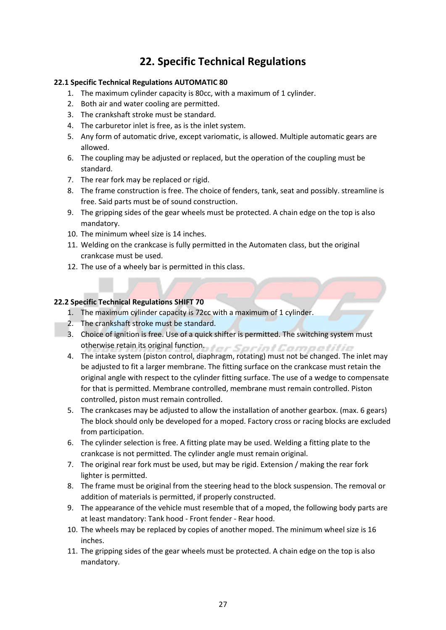### **22. Specific Technical Regulations**

#### <span id="page-27-1"></span><span id="page-27-0"></span>**22.1 Specific Technical Regulations AUTOMATIC 80**

- 1. The maximum cylinder capacity is 80cc, with a maximum of 1 cylinder.
- 2. Both air and water cooling are permitted.
- 3. The crankshaft stroke must be standard.
- 4. The carburetor inlet is free, as is the inlet system.
- 5. Any form of automatic drive, except variomatic, is allowed. Multiple automatic gears are allowed.
- 6. The coupling may be adjusted or replaced, but the operation of the coupling must be standard.
- 7. The rear fork may be replaced or rigid.
- 8. The frame construction is free. The choice of fenders, tank, seat and possibly. streamline is free. Said parts must be of sound construction.
- 9. The gripping sides of the gear wheels must be protected. A chain edge on the top is also mandatory.
- 10. The minimum wheel size is 14 inches.
- 11. Welding on the crankcase is fully permitted in the Automaten class, but the original crankcase must be used.
- 12. The use of a wheely bar is permitted in this class.

#### <span id="page-27-2"></span>**22.2 Specific Technical Regulations SHIFT 70**

- 1. The maximum cylinder capacity is 72cc with a maximum of 1 cylinder.
- 2. The crankshaft stroke must be standard.
- 3. Choice of ignition is free. Use of a quick shifter is permitted. The switching system must otherwise retain its original function.
- 4. The intake system (piston control, diaphragm, rotating) must not be changed. The inlet may be adjusted to fit a larger membrane. The fitting surface on the crankcase must retain the original angle with respect to the cylinder fitting surface. The use of a wedge to compensate for that is permitted. Membrane controlled, membrane must remain controlled. Piston controlled, piston must remain controlled.
- 5. The crankcases may be adjusted to allow the installation of another gearbox. (max. 6 gears) The block should only be developed for a moped. Factory cross or racing blocks are excluded from participation.
- 6. The cylinder selection is free. A fitting plate may be used. Welding a fitting plate to the crankcase is not permitted. The cylinder angle must remain original.
- 7. The original rear fork must be used, but may be rigid. Extension / making the rear fork lighter is permitted.
- 8. The frame must be original from the steering head to the block suspension. The removal or addition of materials is permitted, if properly constructed.
- 9. The appearance of the vehicle must resemble that of a moped, the following body parts are at least mandatory: Tank hood - Front fender - Rear hood.
- 10. The wheels may be replaced by copies of another moped. The minimum wheel size is 16 inches.
- 11. The gripping sides of the gear wheels must be protected. A chain edge on the top is also mandatory.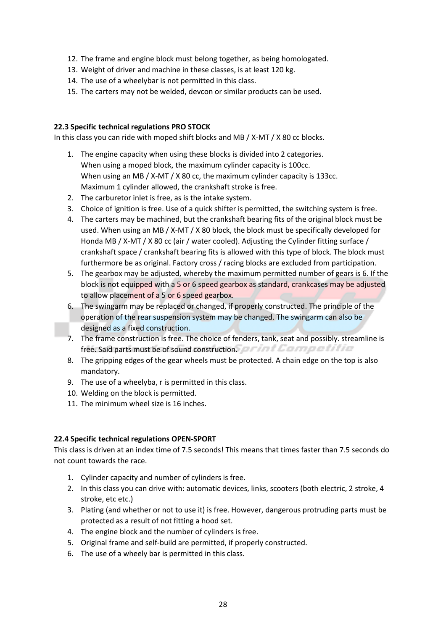- 12. The frame and engine block must belong together, as being homologated.
- 13. Weight of driver and machine in these classes, is at least 120 kg.
- 14. The use of a wheelybar is not permitted in this class.
- 15. The carters may not be welded, devcon or similar products can be used.

#### <span id="page-28-0"></span>**22.3 Specific technical regulations PRO STOCK**

In this class you can ride with moped shift blocks and MB / X-MT / X 80 cc blocks.

- 1. The engine capacity when using these blocks is divided into 2 categories. When using a moped block, the maximum cylinder capacity is 100cc. When using an MB / X-MT / X 80 cc, the maximum cylinder capacity is 133cc. Maximum 1 cylinder allowed, the crankshaft stroke is free.
- 2. The carburetor inlet is free, as is the intake system.
- 3. Choice of ignition is free. Use of a quick shifter is permitted, the switching system is free.
- 4. The carters may be machined, but the crankshaft bearing fits of the original block must be used. When using an MB / X-MT / X 80 block, the block must be specifically developed for Honda MB / X-MT / X 80 cc (air / water cooled). Adjusting the Cylinder fitting surface / crankshaft space / crankshaft bearing fits is allowed with this type of block. The block must furthermore be as original. Factory cross / racing blocks are excluded from participation.
- 5. The gearbox may be adjusted, whereby the maximum permitted number of gears is 6. If the block is not equipped with a 5 or 6 speed gearbox as standard, crankcases may be adjusted to allow placement of a 5 or 6 speed gearbox.
- 6. The swingarm may be replaced or changed, if properly constructed. The principle of the operation of the rear suspension system may be changed. The swingarm can also be designed as a fixed construction.
- 7. The frame construction is free. The choice of fenders, tank, seat and possibly. streamline is free. Said parts must be of sound construction.
- 8. The gripping edges of the gear wheels must be protected. A chain edge on the top is also mandatory.
- 9. The use of a wheelyba, r is permitted in this class.
- 10. Welding on the block is permitted.
- 11. The minimum wheel size is 16 inches.

#### <span id="page-28-1"></span>**22.4 Specific technical regulations OPEN-SPORT**

This class is driven at an index time of 7.5 seconds! This means that times faster than 7.5 seconds do not count towards the race.

- 1. Cylinder capacity and number of cylinders is free.
- 2. In this class you can drive with: automatic devices, links, scooters (both electric, 2 stroke, 4 stroke, etc etc.)
- 3. Plating (and whether or not to use it) is free. However, dangerous protruding parts must be protected as a result of not fitting a hood set.
- 4. The engine block and the number of cylinders is free.
- 5. Original frame and self-build are permitted, if properly constructed.
- 6. The use of a wheely bar is permitted in this class.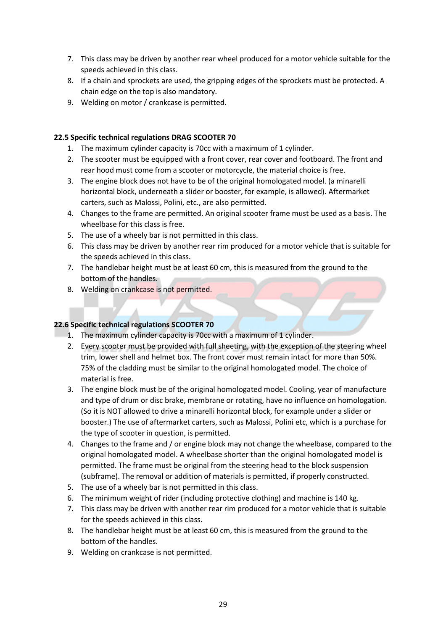- 7. This class may be driven by another rear wheel produced for a motor vehicle suitable for the speeds achieved in this class.
- 8. If a chain and sprockets are used, the gripping edges of the sprockets must be protected. A chain edge on the top is also mandatory.
- 9. Welding on motor / crankcase is permitted.

#### <span id="page-29-0"></span>**22.5 Specific technical regulations DRAG SCOOTER 70**

- 1. The maximum cylinder capacity is 70cc with a maximum of 1 cylinder.
- 2. The scooter must be equipped with a front cover, rear cover and footboard. The front and rear hood must come from a scooter or motorcycle, the material choice is free.
- 3. The engine block does not have to be of the original homologated model. (a minarelli horizontal block, underneath a slider or booster, for example, is allowed). Aftermarket carters, such as Malossi, Polini, etc., are also permitted.
- 4. Changes to the frame are permitted. An original scooter frame must be used as a basis. The wheelbase for this class is free.
- 5. The use of a wheely bar is not permitted in this class.
- 6. This class may be driven by another rear rim produced for a motor vehicle that is suitable for the speeds achieved in this class.
- 7. The handlebar height must be at least 60 cm, this is measured from the ground to the bottom of the handles.
- 8. Welding on crankcase is not permitted.

#### <span id="page-29-1"></span>**22.6 Specific technical regulations SCOOTER 70**

- 1. The maximum cylinder capacity is 70cc with a maximum of 1 cylinder.
- 2. Every scooter must be provided with full sheeting, with the exception of the steering wheel trim, lower shell and helmet box. The front cover must remain intact for more than 50%. 75% of the cladding must be similar to the original homologated model. The choice of material is free.
- 3. The engine block must be of the original homologated model. Cooling, year of manufacture and type of drum or disc brake, membrane or rotating, have no influence on homologation. (So it is NOT allowed to drive a minarelli horizontal block, for example under a slider or booster.) The use of aftermarket carters, such as Malossi, Polini etc, which is a purchase for the type of scooter in question, is permitted.
- 4. Changes to the frame and / or engine block may not change the wheelbase, compared to the original homologated model. A wheelbase shorter than the original homologated model is permitted. The frame must be original from the steering head to the block suspension (subframe). The removal or addition of materials is permitted, if properly constructed.
- 5. The use of a wheely bar is not permitted in this class.
- 6. The minimum weight of rider (including protective clothing) and machine is 140 kg.
- 7. This class may be driven with another rear rim produced for a motor vehicle that is suitable for the speeds achieved in this class.
- 8. The handlebar height must be at least 60 cm, this is measured from the ground to the bottom of the handles.
- 9. Welding on crankcase is not permitted.